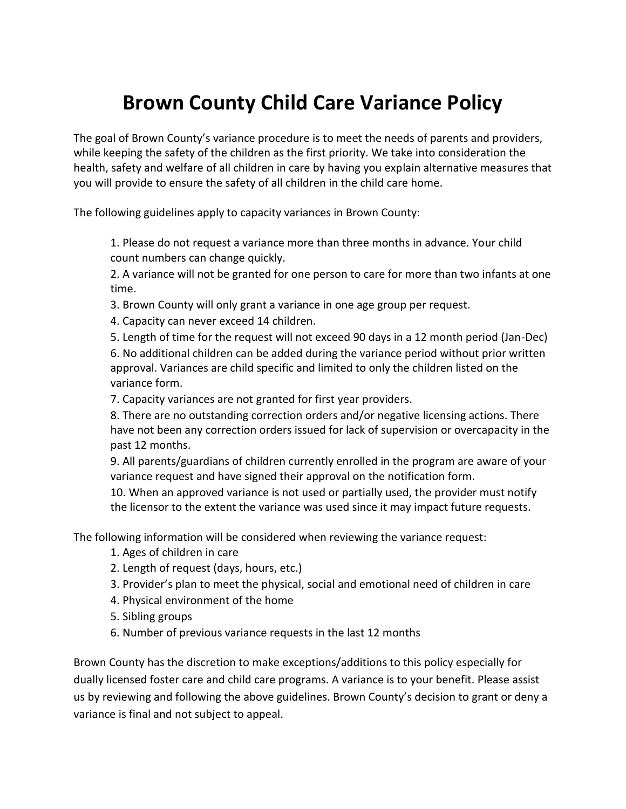## **Brown County Child Care Variance Policy**

The goal of Brown County's variance procedure is to meet the needs of parents and providers, while keeping the safety of the children as the first priority. We take into consideration the health, safety and welfare of all children in care by having you explain alternative measures that you will provide to ensure the safety of all children in the child care home.

The following guidelines apply to capacity variances in Brown County:

1. Please do not request a variance more than three months in advance. Your child count numbers can change quickly.

2. A variance will not be granted for one person to care for more than two infants at one time.

- 3. Brown County will only grant a variance in one age group per request.
- 4. Capacity can never exceed 14 children.

5. Length of time for the request will not exceed 90 days in a 12 month period (Jan-Dec) 6. No additional children can be added during the variance period without prior written approval. Variances are child specific and limited to only the children listed on the variance form.

7. Capacity variances are not granted for first year providers.

8. There are no outstanding correction orders and/or negative licensing actions. There have not been any correction orders issued for lack of supervision or overcapacity in the past 12 months.

9. All parents/guardians of children currently enrolled in the program are aware of your variance request and have signed their approval on the notification form.

10. When an approved variance is not used or partially used, the provider must notify the licensor to the extent the variance was used since it may impact future requests.

The following information will be considered when reviewing the variance request:

- 1. Ages of children in care
- 2. Length of request (days, hours, etc.)
- 3. Provider's plan to meet the physical, social and emotional need of children in care
- 4. Physical environment of the home
- 5. Sibling groups
- 6. Number of previous variance requests in the last 12 months

Brown County has the discretion to make exceptions/additions to this policy especially for dually licensed foster care and child care programs. A variance is to your benefit. Please assist us by reviewing and following the above guidelines. Brown County's decision to grant or deny a variance is final and not subject to appeal.